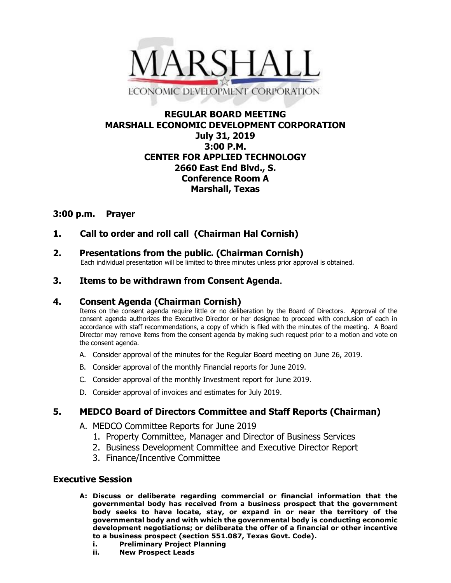

## **REGULAR BOARD MEETING MARSHALL ECONOMIC DEVELOPMENT CORPORATION July 31, 2019 3:00 P.M. CENTER FOR APPLIED TECHNOLOGY 2660 East End Blvd., S. Conference Room A Marshall, Texas**

## **3:00 p.m. Prayer**

# **1. Call to order and roll call (Chairman Hal Cornish)**

# **2. Presentations from the public. (Chairman Cornish)**

Each individual presentation will be limited to three minutes unless prior approval is obtained.

### **3. Items to be withdrawn from Consent Agenda.**

### **4. Consent Agenda (Chairman Cornish)**

Items on the consent agenda require little or no deliberation by the Board of Directors. Approval of the consent agenda authorizes the Executive Director or her designee to proceed with conclusion of each in accordance with staff recommendations, a copy of which is filed with the minutes of the meeting. A Board Director may remove items from the consent agenda by making such request prior to a motion and vote on the consent agenda.

- A. Consider approval of the minutes for the Regular Board meeting on June 26, 2019.
- B. Consider approval of the monthly Financial reports for June 2019.
- C. Consider approval of the monthly Investment report for June 2019.
- D. Consider approval of invoices and estimates for July 2019.

## **5. MEDCO Board of Directors Committee and Staff Reports (Chairman)**

- A. MEDCO Committee Reports for June 2019
	- 1. Property Committee, Manager and Director of Business Services
	- 2. Business Development Committee and Executive Director Report
	- 3. Finance/Incentive Committee

### **Executive Session**

- **A: Discuss or deliberate regarding commercial or financial information that the governmental body has received from a business prospect that the government body seeks to have locate, stay, or expand in or near the territory of the governmental body and with which the governmental body is conducting economic development negotiations; or deliberate the offer of a financial or other incentive to a business prospect (section 551.087, Texas Govt. Code).**
	- **i. Preliminary Project Planning**
	- **ii. New Prospect Leads**